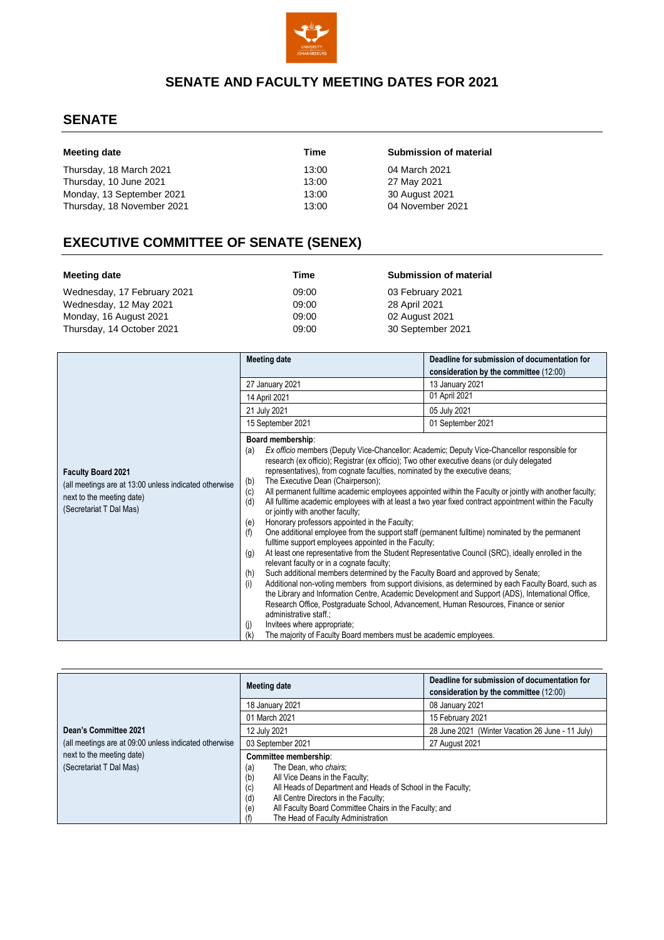

## **SENATE AND FACULTY MEETING DATES FOR 2021**

### **SENATE**

| Meeting date               | Time  | Submission of material |
|----------------------------|-------|------------------------|
| Thursday, 18 March 2021    | 13:00 | 04 March 2021          |
| Thursday, 10 June 2021     | 13:00 | 27 May 2021            |
| Monday, 13 September 2021  | 13:00 | 30 August 2021         |
| Thursday, 18 November 2021 | 13:00 | 04 November 2021       |

# **EXECUTIVE COMMITTEE OF SENATE (SENEX)**

| Meeting date                | Time  | Submission of material |
|-----------------------------|-------|------------------------|
| Wednesday, 17 February 2021 | 09:00 | 03 February 2021       |
| Wednesday, 12 May 2021      | 09:00 | 28 April 2021          |
| Monday, 16 August 2021      | 09:00 | 02 August 2021         |
| Thursday, 14 October 2021   | 09:00 | 30 September 2021      |

|                                                                                                                                            | <b>Meeting date</b>                                                                                                                                                                                                                                                                                                                                                                                                                                                                                                                                                                                                                                                                                                                                                                                                                                                                                                                                                                                                     | Deadline for submission of documentation for                                                                                                                                                                                                                                                                                                                                                                                                                                                                                       |
|--------------------------------------------------------------------------------------------------------------------------------------------|-------------------------------------------------------------------------------------------------------------------------------------------------------------------------------------------------------------------------------------------------------------------------------------------------------------------------------------------------------------------------------------------------------------------------------------------------------------------------------------------------------------------------------------------------------------------------------------------------------------------------------------------------------------------------------------------------------------------------------------------------------------------------------------------------------------------------------------------------------------------------------------------------------------------------------------------------------------------------------------------------------------------------|------------------------------------------------------------------------------------------------------------------------------------------------------------------------------------------------------------------------------------------------------------------------------------------------------------------------------------------------------------------------------------------------------------------------------------------------------------------------------------------------------------------------------------|
|                                                                                                                                            |                                                                                                                                                                                                                                                                                                                                                                                                                                                                                                                                                                                                                                                                                                                                                                                                                                                                                                                                                                                                                         | consideration by the committee (12:00)                                                                                                                                                                                                                                                                                                                                                                                                                                                                                             |
|                                                                                                                                            | 27 January 2021                                                                                                                                                                                                                                                                                                                                                                                                                                                                                                                                                                                                                                                                                                                                                                                                                                                                                                                                                                                                         | 13 January 2021                                                                                                                                                                                                                                                                                                                                                                                                                                                                                                                    |
|                                                                                                                                            | 14 April 2021                                                                                                                                                                                                                                                                                                                                                                                                                                                                                                                                                                                                                                                                                                                                                                                                                                                                                                                                                                                                           | 01 April 2021                                                                                                                                                                                                                                                                                                                                                                                                                                                                                                                      |
|                                                                                                                                            | 21 July 2021                                                                                                                                                                                                                                                                                                                                                                                                                                                                                                                                                                                                                                                                                                                                                                                                                                                                                                                                                                                                            | 05 July 2021                                                                                                                                                                                                                                                                                                                                                                                                                                                                                                                       |
|                                                                                                                                            | 15 September 2021                                                                                                                                                                                                                                                                                                                                                                                                                                                                                                                                                                                                                                                                                                                                                                                                                                                                                                                                                                                                       | 01 September 2021                                                                                                                                                                                                                                                                                                                                                                                                                                                                                                                  |
| <b>Faculty Board 2021</b><br>(all meetings are at 13:00 unless indicated otherwise<br>next to the meeting date)<br>(Secretariat T Dal Mas) | Board membership:<br>Ex officio members (Deputy Vice-Chancellor: Academic; Deputy Vice-Chancellor responsible for<br>(a)<br>research (ex officio); Registrar (ex officio); Two other executive deans (or duly delegated<br>representatives), from cognate faculties, nominated by the executive deans;<br>The Executive Dean (Chairperson);<br>(b)<br>(c)<br>(d)<br>or jointly with another faculty;<br>Honorary professors appointed in the Faculty;<br>(e)<br>(f)<br>One additional employee from the support staff (permanent fulltime) nominated by the permanent<br>fulltime support employees appointed in the Faculty;<br>(g)<br>relevant faculty or in a cognate faculty;<br>Such additional members determined by the Faculty Board and approved by Senate;<br>(h)<br>(i)<br>Research Office, Postgraduate School, Advancement, Human Resources, Finance or senior<br>administrative staff.;<br>Invitees where appropriate;<br>(j)<br>The majority of Faculty Board members must be academic employees.<br>(k) | All permanent fulltime academic employees appointed within the Faculty or jointly with another faculty;<br>All fulltime academic employees with at least a two year fixed contract appointment within the Faculty<br>At least one representative from the Student Representative Council (SRC), ideally enrolled in the<br>Additional non-voting members from support divisions, as determined by each Faculty Board, such as<br>the Library and Information Centre, Academic Development and Support (ADS), International Office, |

|                                                       | Meeting date                                                                                                                                                                                                                                                                                                               | Deadline for submission of documentation for<br>consideration by the committee (12:00) |
|-------------------------------------------------------|----------------------------------------------------------------------------------------------------------------------------------------------------------------------------------------------------------------------------------------------------------------------------------------------------------------------------|----------------------------------------------------------------------------------------|
|                                                       | 18 January 2021                                                                                                                                                                                                                                                                                                            | 08 January 2021                                                                        |
|                                                       | 01 March 2021                                                                                                                                                                                                                                                                                                              | 15 February 2021                                                                       |
| Dean's Committee 2021                                 | 12 July 2021                                                                                                                                                                                                                                                                                                               | 28 June 2021 (Winter Vacation 26 June - 11 July)                                       |
| (all meetings are at 09:00 unless indicated otherwise | 03 September 2021                                                                                                                                                                                                                                                                                                          | 27 August 2021                                                                         |
| next to the meeting date)<br>(Secretariat T Dal Mas)  | Committee membership:<br>The Dean, who chairs;<br>(a)<br>(b)<br>All Vice Deans in the Faculty;<br>(c)<br>All Heads of Department and Heads of School in the Faculty;<br>(d)<br>All Centre Directors in the Faculty;<br>All Faculty Board Committee Chairs in the Faculty; and<br>(e)<br>The Head of Faculty Administration |                                                                                        |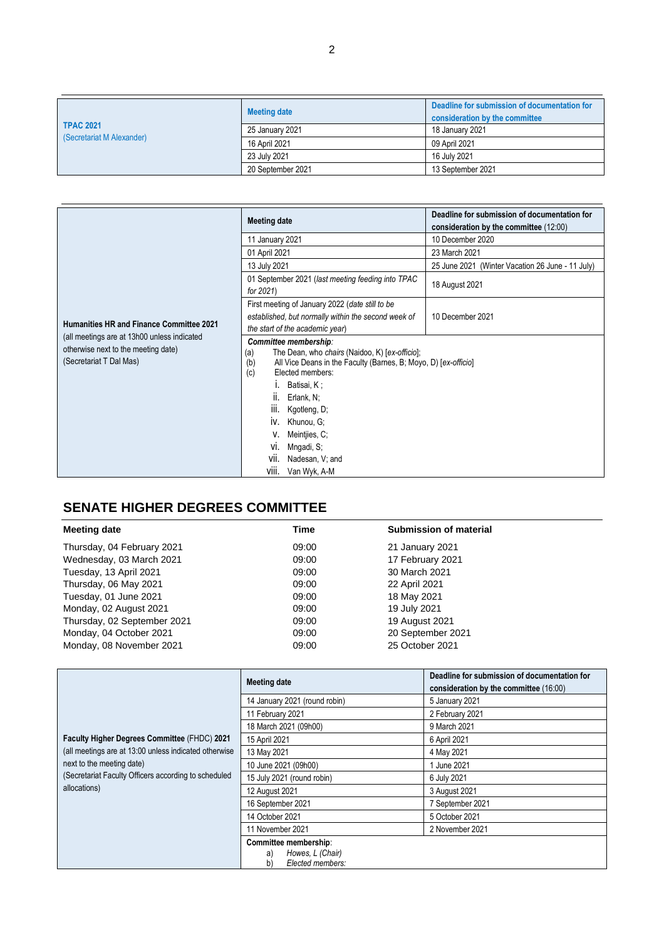| <b>TPAC 2021</b><br>(Secretariat M Alexander) | <b>Meeting date</b> | Deadline for submission of documentation for<br>consideration by the committee |
|-----------------------------------------------|---------------------|--------------------------------------------------------------------------------|
|                                               | 25 January 2021     | 18 January 2021                                                                |
|                                               | 16 April 2021       | 09 April 2021                                                                  |
|                                               | 23 July 2021        | 16 July 2021                                                                   |
|                                               | 20 September 2021   | 13 September 2021                                                              |

|                                                                                                               | <b>Meeting date</b>                                                                                                                                                                                                                                                                                                                                    | Deadline for submission of documentation for<br>consideration by the committee (12:00) |
|---------------------------------------------------------------------------------------------------------------|--------------------------------------------------------------------------------------------------------------------------------------------------------------------------------------------------------------------------------------------------------------------------------------------------------------------------------------------------------|----------------------------------------------------------------------------------------|
|                                                                                                               | 11 January 2021                                                                                                                                                                                                                                                                                                                                        | 10 December 2020                                                                       |
|                                                                                                               | 01 April 2021                                                                                                                                                                                                                                                                                                                                          | 23 March 2021                                                                          |
|                                                                                                               | 13 July 2021                                                                                                                                                                                                                                                                                                                                           | 25 June 2021 (Winter Vacation 26 June - 11 July)                                       |
|                                                                                                               | 01 September 2021 (last meeting feeding into TPAC<br>for 2021)                                                                                                                                                                                                                                                                                         | 18 August 2021                                                                         |
| <b>Humanities HR and Finance Committee 2021</b>                                                               | First meeting of January 2022 (date still to be<br>established, but normally within the second week of<br>the start of the academic year)                                                                                                                                                                                                              | 10 December 2021                                                                       |
| (all meetings are at 13h00 unless indicated<br>otherwise next to the meeting date)<br>(Secretariat T Dal Mas) | Committee membership:<br>The Dean, who chairs (Naidoo, K) [ex-officio];<br>(a)<br>(b)<br>All Vice Deans in the Faculty (Barnes, B; Moyo, D) [ex-officio]<br>(c)<br>Flected members:<br>Batisai, K;<br>II.<br>Erlank, N;<br>Ш.<br>Kgotleng, D;<br>IV. Khunou, G:<br>Meintjies, C;<br>Mngadi, S;<br>Vİ.<br>Nadesan, V; and<br>VII.<br>VIII. Van Wyk, A-M |                                                                                        |

# **SENATE HIGHER DEGREES COMMITTEE**

| Time  | <b>Submission of material</b> |  |
|-------|-------------------------------|--|
| 09:00 | 21 January 2021               |  |
| 09:00 | 17 February 2021              |  |
| 09:00 | 30 March 2021                 |  |
| 09:00 | 22 April 2021                 |  |
| 09:00 | 18 May 2021                   |  |
| 09:00 | 19 July 2021                  |  |
| 09:00 | 19 August 2021                |  |
| 09:00 | 20 September 2021             |  |
| 09:00 | 25 October 2021               |  |
|       |                               |  |

|                                                                      | <b>Meeting date</b>                                                       | Deadline for submission of documentation for<br>consideration by the committee (16:00) |
|----------------------------------------------------------------------|---------------------------------------------------------------------------|----------------------------------------------------------------------------------------|
|                                                                      | 14 January 2021 (round robin)                                             | 5 January 2021                                                                         |
|                                                                      | 11 February 2021                                                          | 2 February 2021                                                                        |
|                                                                      | 18 March 2021 (09h00)                                                     | 9 March 2021                                                                           |
| Faculty Higher Degrees Committee (FHDC) 2021                         | 15 April 2021                                                             | 6 April 2021                                                                           |
| (all meetings are at 13:00 unless indicated otherwise                | 13 May 2021                                                               | 4 May 2021                                                                             |
| next to the meeting date)                                            | 10 June 2021 (09h00)                                                      | 1 June 2021                                                                            |
| (Secretariat Faculty Officers according to scheduled<br>allocations) | 15 July 2021 (round robin)                                                | 6 July 2021                                                                            |
|                                                                      | 12 August 2021                                                            | 3 August 2021                                                                          |
|                                                                      | 16 September 2021                                                         | 7 September 2021                                                                       |
|                                                                      | 14 October 2021                                                           | 5 October 2021                                                                         |
|                                                                      | 11 November 2021                                                          | 2 November 2021                                                                        |
|                                                                      | Committee membership:<br>Howes, L (Chair)<br>a)<br>Elected members:<br>b) |                                                                                        |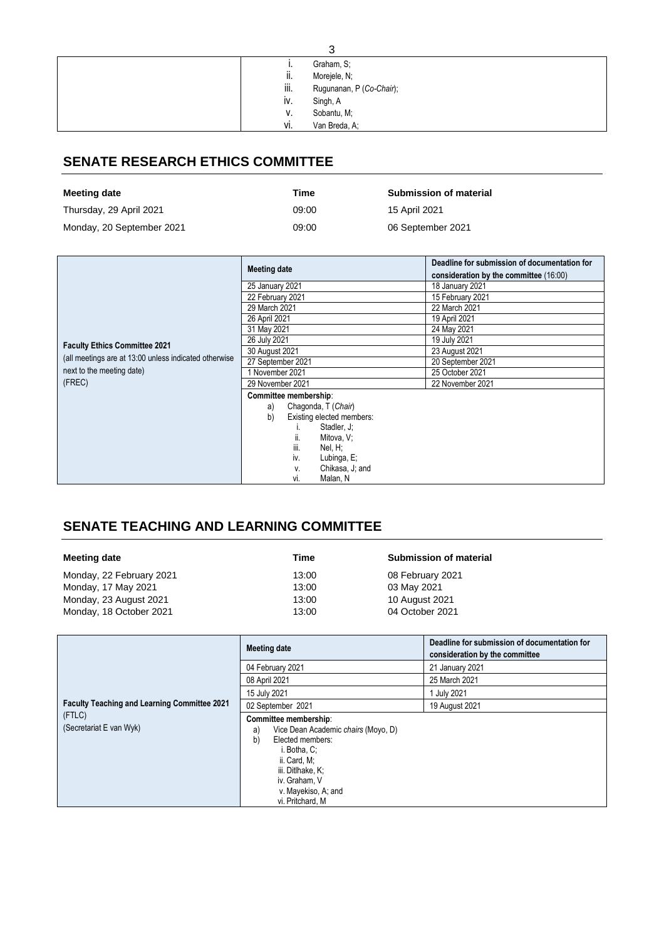| 3                                |  |  |
|----------------------------------|--|--|
| Graham, S;<br>                   |  |  |
| ii.<br>Morejele, N;              |  |  |
| iii.<br>Rugunanan, P (Co-Chair); |  |  |
| iv.<br>Singh, A                  |  |  |
| Sobantu, M;<br>٧.                |  |  |
| vi.<br>Van Breda, A;             |  |  |

### **SENATE RESEARCH ETHICS COMMITTEE**

| Meeting date              | Time  | <b>Submission of material</b> |
|---------------------------|-------|-------------------------------|
| Thursday, 29 April 2021   | 09:00 | 15 April 2021                 |
| Monday, 20 September 2021 | 09:00 | 06 September 2021             |

|                                                       | <b>Meeting date</b>             | Deadline for submission of documentation for<br>consideration by the committee (16:00) |
|-------------------------------------------------------|---------------------------------|----------------------------------------------------------------------------------------|
|                                                       | 25 January 2021                 | 18 January 2021                                                                        |
|                                                       | 22 February 2021                | 15 February 2021                                                                       |
|                                                       | 29 March 2021                   | 22 March 2021                                                                          |
|                                                       | 26 April 2021                   | 19 April 2021                                                                          |
|                                                       | 31 May 2021                     | 24 May 2021                                                                            |
| <b>Faculty Ethics Committee 2021</b>                  | 26 July 2021                    | 19 July 2021                                                                           |
|                                                       | 30 August 2021                  | 23 August 2021                                                                         |
| (all meetings are at 13:00 unless indicated otherwise | 27 September 2021               | 20 September 2021                                                                      |
| next to the meeting date)                             | 1 November 2021                 | 25 October 2021                                                                        |
| (FREC)                                                | 29 November 2021                | 22 November 2021                                                                       |
|                                                       | Committee membership:           |                                                                                        |
|                                                       | Chagonda, T (Chair)<br>a)       |                                                                                        |
|                                                       | b)<br>Existing elected members: |                                                                                        |
|                                                       | Stadler, J;                     |                                                                                        |
|                                                       | Mitova, V;<br>ii.               |                                                                                        |
|                                                       | Nel, H;<br>iii.                 |                                                                                        |
|                                                       | Lubinga, E;<br>iv.              |                                                                                        |
|                                                       | Chikasa, J; and<br>٧.           |                                                                                        |
|                                                       | Malan, N<br>Vİ.                 |                                                                                        |

## **SENATE TEACHING AND LEARNING COMMITTEE**

| Meeting date             | Time  | Submission of material |
|--------------------------|-------|------------------------|
| Monday, 22 February 2021 | 13:00 | 08 February 2021       |
| Monday, 17 May 2021      | 13:00 | 03 May 2021            |
| Monday, 23 August 2021   | 13:00 | 10 August 2021         |
| Monday, 18 October 2021  | 13:00 | 04 October 2021        |

| <b>Faculty Teaching and Learning Committee 2021</b><br>(FTLC)<br>(Secretariat E van Wyk) | <b>Meeting date</b>                                                                                                                                                                                           | Deadline for submission of documentation for<br>consideration by the committee |
|------------------------------------------------------------------------------------------|---------------------------------------------------------------------------------------------------------------------------------------------------------------------------------------------------------------|--------------------------------------------------------------------------------|
|                                                                                          | 04 February 2021                                                                                                                                                                                              | 21 January 2021                                                                |
|                                                                                          | 08 April 2021                                                                                                                                                                                                 | 25 March 2021                                                                  |
|                                                                                          | 15 July 2021                                                                                                                                                                                                  | July 2021                                                                      |
|                                                                                          | 02 September 2021                                                                                                                                                                                             | 19 August 2021                                                                 |
|                                                                                          | Committee membership:<br>Vice Dean Academic chairs (Moyo, D)<br>a)<br>b)<br>Elected members:<br>i. Botha. C:<br>ii. Card, M;<br>iii. Ditlhake. K:<br>iv. Graham, V<br>v. Mayekiso, A; and<br>vi. Pritchard, M |                                                                                |